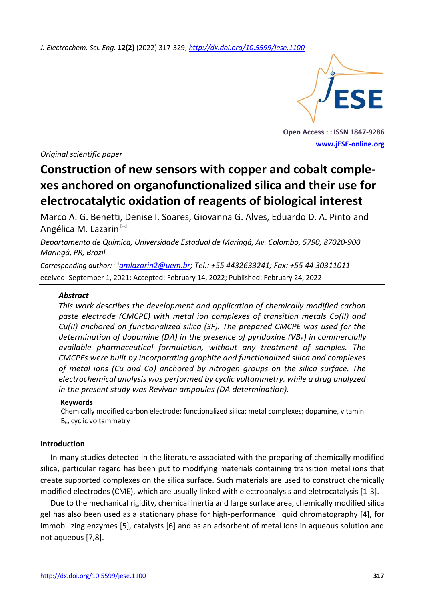*J. Electrochem. Sci. Eng.* **12(2)** (2022) 317-329; *<http://dx.doi.org/10.5599/jese.1100>*



**Open Access : : ISSN 1847-9286 [www.jESE-online.org](http://www.jese-online.org/)**

*Original scientific paper*

# **Construction of new sensors with copper and cobalt complexes anchored on organofunctionalized silica and their use for electrocatalytic oxidation of reagents of biological interest**

Marco A. G. Benetti, Denise I. Soares, Giovanna G. Alves, Eduardo D. A. Pinto and Angélica M. Lazarin

*Departamento de Química, Universidade Estadual de Maringá, Av. Colombo, 5790, 87020-900 Maringá, PR, Brazil*

*Corresponding author: [amlazarin2@uem.br;](mailto:amlazarin2@uem.br) Tel.: +55 4432633241; Fax: +55 44 30311011* eceived: September 1, 2021; Accepted: February 14, 2022; Published: February 24, 2022

## *Abstract*

*This work describes the development and application of chemically modified carbon paste electrode (CMCPE) with metal ion complexes of transition metals Co(II) and Cu(II) anchored on functionalized silica (SF). The prepared CMCPE was used for the determination of dopamine (DA) in the presence of pyridoxine (VB6) in commercially available pharmaceutical formulation, without any treatment of samples. The CMCPEs were built by incorporating graphite and functionalized silica and complexes of metal ions (Cu and Co) anchored by nitrogen groups on the silica surface. The electrochemical analysis was performed by cyclic voltammetry, while a drug analyzed in the present study was Revivan ampoules (DA determination).*

## **Keywords**

Chemically modified carbon electrode; functionalized silica; metal complexes; dopamine, vitamin B6, cyclic voltammetry

## **Introduction**

In many studies detected in the literature associated with the preparing of chemically modified silica, particular regard has been put to modifying materials containing transition metal ions that create supported complexes on the silica surface. Such materials are used to construct chemically modified electrodes (CME), which are usually linked with electroanalysis and eletrocatalysis [1-3].

Due to the mechanical rigidity, chemical inertia and large surface area, chemically modified silica gel has also been used as a stationary phase for high-performance liquid chromatography [4], for immobilizing enzymes [5], catalysts [6] and as an adsorbent of metal ions in aqueous solution and not aqueous [7,8].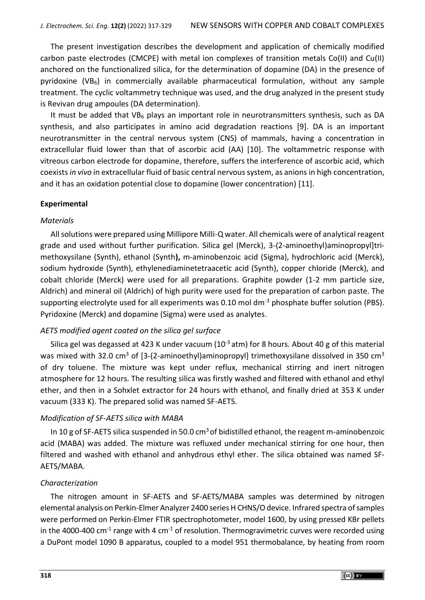The present investigation describes the development and application of chemically modified carbon paste electrodes (CMCPE) with metal ion complexes of transition metals Co(II) and Cu(II) anchored on the functionalized silica, for the determination of dopamine (DA) in the presence of pyridoxine (VB6) in commercially available pharmaceutical formulation, without any sample treatment. The cyclic voltammetry technique was used, and the drug analyzed in the present study is Revivan drug ampoules (DA determination).

It must be added that VB<sub>6</sub> plays an important role in neurotransmitters synthesis, such as DA synthesis, and also participates in amino acid degradation reactions [9]. DA is an important neurotransmitter in the central nervous system (CNS) of mammals, having a concentration in extracellular fluid lower than that of ascorbic acid (AA) [10]. The voltammetric response with vitreous carbon electrode for dopamine, therefore, suffers the interference of ascorbic acid, which coexists *in vivo* in extracellular fluid of basic central nervous system, as anions in high concentration, and it has an oxidation potential close to dopamine (lower concentration) [11].

# **Experimental**

# *Materials*

All solutions were prepared using Millipore Milli-Q water. All chemicals were of analytical reagent grade and used without further purification. Silica gel (Merck), 3-(2-aminoethyl)aminopropyl]trimethoxysilane (Synth), ethanol (Synth**),** m-aminobenzoic acid (Sigma), hydrochloric acid (Merck), sodium hydroxide (Synth), ethylenediaminetetraacetic acid (Synth), copper chloride (Merck), and cobalt chloride (Merck) were used for all preparations. Graphite powder (1-2 mm particle size, Aldrich) and mineral oil (Aldrich) of high purity were used for the preparation of carbon paste. The supporting electrolyte used for all experiments was 0.10 mol dm<sup>-3</sup> phosphate buffer solution (PBS). Pyridoxine (Merck) and dopamine (Sigma) were used as analytes.

# *AETS modified agent coated on the silica gel surface*

Silica gel was degassed at 423 K under vacuum ( $10^{-3}$  atm) for 8 hours. About 40 g of this material was mixed with 32.0 cm<sup>3</sup> of [3-(2-aminoethyl)aminopropyl] trimethoxysilane dissolved in 350 cm<sup>3</sup> of dry toluene. The mixture was kept under reflux, mechanical stirring and inert nitrogen atmosphere for 12 hours. The resulting silica was firstly washed and filtered with ethanol and ethyl ether, and then in a Sohxlet extractor for 24 hours with ethanol, and finally dried at 353 K under vacuum (333 K). The prepared solid was named SF-AETS.

# *Modification of SF-AETS silica with MABA*

In 10 g of SF-AETS silica suspended in 50.0 cm<sup>3</sup> of bidistilled ethanol, the reagent m-aminobenzoic acid (MABA) was added. The mixture was refluxed under mechanical stirring for one hour, then filtered and washed with ethanol and anhydrous ethyl ether. The silica obtained was named SF-AETS/MABA.

# *Characterization*

The nitrogen amount in SF-AETS and SF-AETS/MABA samples was determined by nitrogen elemental analysis on Perkin-Elmer Analyzer 2400 series H CHNS/O device. Infrared spectra of samples were performed on Perkin-Elmer FTIR spectrophotometer, model 1600, by using pressed KBr pellets in the 4000-400 cm<sup>-1</sup> range with 4 cm<sup>-1</sup> of resolution. Thermogravimetric curves were recorded using a DuPont model 1090 B apparatus, coupled to a model 951 thermobalance, by heating from room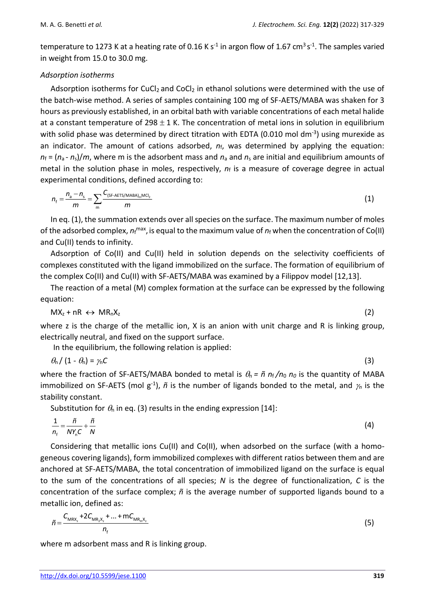temperature to 1273 K at a heating rate of 0.16 K s<sup>-1</sup> in argon flow of 1.67 cm<sup>3</sup> s<sup>-1</sup>. The samples varied in weight from 15.0 to 30.0 mg.

## *Adsorption isotherms*

Adsorption isotherms for CuCl<sub>2</sub> and CoCl<sub>2</sub> in ethanol solutions were determined with the use of the batch-wise method. A series of samples containing 100 mg of SF-AETS/MABA was shaken for 3 hours as previously established, in an orbital bath with variable concentrations of each metal halide at a constant temperature of  $298 \pm 1$  K. The concentration of metal ions in solution in equilibrium with solid phase was determined by direct titration with EDTA (0.010 mol dm<sup>-3</sup>) using murexide as an indicator. The amount of cations adsorbed,  $n_f$ , was determined by applying the equation:  $n_f = (n_a - n_s)/m$ , where m is the adsorbent mass and  $n_a$  and  $n_s$  are initial and equilibrium amounts of metal in the solution phase in moles, respectively, *n*<sup>f</sup> is a measure of coverage degree in actual experimental conditions, defined according to:

$$
n_{\rm f} = \frac{n_{\rm a} - n_{\rm s}}{m} = \sum_{\rm m} \frac{C_{\rm (SF-AETS/MABA)_{\rm m}MCI_2}}{m}
$$
 (1)

In eq. (1), the summation extends over all species on the surface. The maximum number of moles of the adsorbed complex,  $n_f$ <sup>max</sup>, is equal to the maximum value of  $n_f$  when the concentration of Co(II) and Cu(II) tends to infinity.

Adsorption of Co(II) and Cu(II) held in solution depends on the selectivity coefficients of complexes constituted with the ligand immobilized on the surface. The formation of equilibrium of the complex Co(II) and Cu(II) with SF-AETS/MABA was examined by a Filippov model [12,13].

The reaction of a metal (M) complex formation at the surface can be expressed by the following equation:

$$
MX_{z} + nR \leftrightarrow MR_{n}X_{z}
$$
 (2)

where z is the charge of the metallic ion, X is an anion with unit charge and R is linking group, electrically neutral, and fixed on the support surface.

In the equilibrium, the following relation is applied:

$$
\theta_n / (1 - \theta_n) = \gamma_n C \tag{3}
$$

where the fraction of SF-AETS/MABA bonded to metal is  $\theta_n = \tilde{n} n_f / n_0 n_0$  is the quantity of MABA immobilized on SF-AETS (mol  $g^{-1}$ ),  $\tilde{n}$  is the number of ligands bonded to the metal, and  $\gamma_n$  is the stability constant.

Substitution for  $\theta_n$  in eq. (3) results in the ending expression [14]:

$$
\frac{1}{n_{\rm f}} = \frac{\tilde{n}}{N Y_{\rm n} C} + \frac{\tilde{n}}{N} \tag{4}
$$

Considering that metallic ions Cu(II) and Co(II), when adsorbed on the surface (with a homogeneous covering ligands), form immobilized complexes with different ratios between them and are anchored at SF-AETS/MABA, the total concentration of immobilized ligand on the surface is equal to the sum of the concentrations of all species; *N* is the degree of functionalization, *C* is the concentration of the surface complex; *ñ* is the average number of supported ligands bound to a metallic ion, defined as:

$$
\tilde{n} = \frac{C_{\text{MRX}_{z}} + 2C_{\text{MR}_{z}X_{z}} + ... + mC_{\text{MR}_{m}X_{z}}}{n_{f}}
$$
\n(5)

where m adsorbent mass and R is linking group.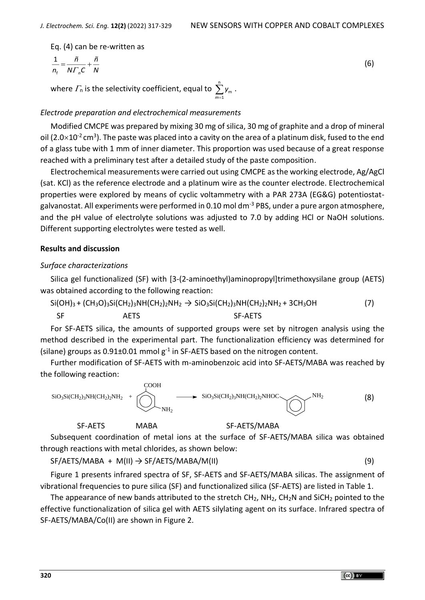Eq. (4) can be re-written as

$$
\frac{1}{n_{\rm f}} = \frac{\tilde{n}}{N \Gamma_n C} + \frac{\tilde{n}}{N} \tag{6}
$$

where  $\varGamma_{\sf n}$  is the selectivity coefficient, equal to  $\sum\limits^{\sf n}$ m *<sup>y</sup>* . *m=*1

#### *Electrode preparation and electrochemical measurements*

Modified CMCPE was prepared by mixing 30 mg of silica, 30 mg of graphite and a drop of mineral oil (2.0 $\times$ 10<sup>-2</sup> cm<sup>3</sup>). The paste was placed into a cavity on the area of a platinum disk, fused to the end of a glass tube with 1 mm of inner diameter. This proportion was used because of a great response reached with a preliminary test after a detailed study of the paste composition.

Electrochemical measurements were carried out using CMCPE as the working electrode, Ag/AgCl (sat. KCl) as the reference electrode and a platinum wire as the counter electrode. Electrochemical properties were explored by means of cyclic voltammetry with a PAR 273A (EG&G) potentiostatgalvanostat. All experiments were performed in 0.10 mol dm<sup>-3</sup> PBS, under a pure argon atmosphere, and the pH value of electrolyte solutions was adjusted to 7.0 by adding HCl or NaOH solutions. Different supporting electrolytes were tested as well.

#### **Results and discussion**

#### *Surface characterizations*

Silica gel functionalized (SF) with [3-(2-aminoethyl)aminopropyl]trimethoxysilane group (AETS) was obtained according to the following reaction:

 $Si(OH)_3 + (CH_3O)_3Si(CH_2)_3NH(CH_2)_2NH_2 \rightarrow SiO_3Si(CH_2)_3NH(CH_2)_2NH_2 + 3CH_3OH$  (7) SF AETS SF-AETS

For SF-AETS silica, the amounts of supported groups were set by nitrogen analysis using the method described in the experimental part. The functionalization efficiency was determined for (silane) groups as 0.91 $\pm$ 0.01 mmol g<sup>-1</sup> in SF-AETS based on the nitrogen content.

Further modification of SF-AETS with m-aminobenzoic acid into SF-AETS/MABA was reached by the following reaction:



Subsequent coordination of metal ions at the surface of SF-AETS/MABA silica was obtained through reactions with metal chlorides, as shown below:

SF/AETS/MABA + M(II) → SF/AETS/MABA/M(II) (9)

SF-AETS MABA SF-AETS/MABA

Figure 1 presents infrared spectra of SF, SF-AETS and SF-AETS/MABA silicas. The assignment of vibrational frequencies to pure silica (SF) and functionalized silica (SF-AETS) are listed in Table 1.

The appearance of new bands attributed to the stretch  $CH_2$ ,  $NH_2$ ,  $CH_2N$  and SiCH<sub>2</sub> pointed to the effective functionalization of silica gel with AETS silylating agent on its surface. Infrared spectra of SF-AETS/MABA/Co(II) are shown in Figure 2.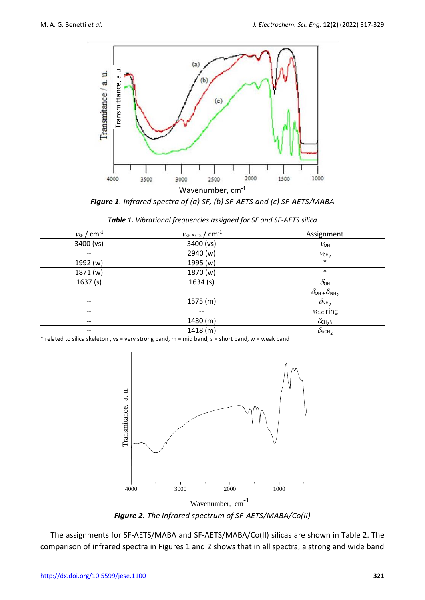

*Figure 1. Infrared spectra of (a) SF, (b) SF-AETS and (c) SF-AETS/MABA* 

|  |  |  |  | Table 1. Vibrational frequencies assigned for SF and SF-AETS silica |  |
|--|--|--|--|---------------------------------------------------------------------|--|
|--|--|--|--|---------------------------------------------------------------------|--|

| $v_{SF}$ / $cm^{-1}$     | $v_{\text{SF-AETS}}$ / $\text{cm}^{\text{-1}}$ | Assignment                                  |
|--------------------------|------------------------------------------------|---------------------------------------------|
| 3400 (vs)                | 3400 (vs)                                      | $V_{OH}$                                    |
| $\qquad \qquad -$        | 2940 (w)                                       | VCH <sub>2</sub>                            |
| 1992 (w)                 | 1995 (w)                                       | $\ast$                                      |
| 1871 (w)                 | 1870 (w)                                       | $\ast$                                      |
| 1637(s)                  | 1634(s)                                        | $\delta_{\rm OH}$                           |
| $\overline{\phantom{a}}$ | $\qquad \qquad -$                              | $\delta_{\text{OH}}$ + $\delta_{\text{NH}}$ |
| $- -$                    | 1575(m)                                        | $\delta_{NH_2}$                             |
| $\qquad \qquad -$        | $\qquad \qquad -$                              | $v_{C=C}$ ring                              |
| $\qquad \qquad -$        | 1480 (m)                                       | $\delta_{\text{CH}_2\text{N}}$              |
| $- -$                    | 1418(m)                                        | $\delta$ SiCH <sub>2</sub>                  |
|                          |                                                |                                             |

\* related to silica skeleton , vs = very strong band, m = mid band, s = short band, w = weak band



*Figure 2. The infrared spectrum of SF-AETS/MABA/Co(II)*

The assignments for SF-AETS/MABA and SF-AETS/MABA/Co(II) silicas are shown in Table 2. The comparison of infrared spectra in Figures 1 and 2 shows that in all spectra, a strong and wide band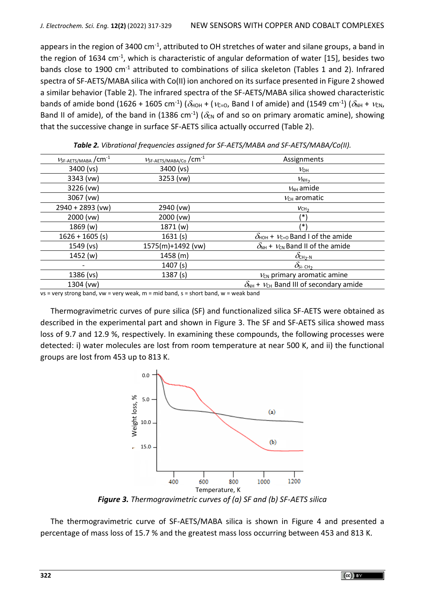appears in the region of 3400 cm<sup>-1</sup>, attributed to OH stretches of water and silane groups, a band in the region of 1634 cm<sup>-1</sup>, which is characteristic of angular deformation of water [15], besides two bands close to 1900 cm<sup>-1</sup> attributed to combinations of silica skeleton (Tables 1 and 2). Infrared spectra of SF-AETS/MABA silica with Co(II) ion anchored on its surface presented in Figure 2 showed a similar behavior (Table 2). The infrared spectra of the SF-AETS/MABA silica showed characteristic bands of amide bond (1626 + 1605 cm<sup>-1</sup>) ( $\delta$ <sub>HOH</sub> + ( $v$ <sub>C=O</sub>, Band I of amide) and (1549 cm<sup>-1</sup>) ( $\delta$ <sub>NH</sub> +  $v$ <sub>CN</sub>, Band II of amide), of the band in (1386 cm<sup>-1</sup>) ( $\delta_{\text{CN}}$  of and so on primary aromatic amine), showing that the successive change in surface SF-AETS silica actually occurred (Table 2).

| $V_{SF-AETS/MABA}$ / $cm^{-1}$ | VSF-AETS/MABA/Co / CM <sup>-1</sup> | Assignments                                                  |
|--------------------------------|-------------------------------------|--------------------------------------------------------------|
| 3400 (vs)                      | 3400 (vs)                           | $V_{\text{OH}}$                                              |
| 3343 (vw)                      | 3253 (vw)                           | $V_{NH2}$                                                    |
| 3226 (vw)                      |                                     | $V_{NH}$ amide                                               |
| 3067 (vw)                      |                                     | $V_{CH}$ aromatic                                            |
| 2940 + 2893 (vw)               | 2940 (vw)                           | VCH <sub>2</sub>                                             |
| 2000 (vw)                      | 2000 (vw)                           | /∗                                                           |
| 1869(w)                        | 1871 (w)                            | /*'                                                          |
| $1626 + 1605$ (s)              | 1631(s)                             | $\delta_{\text{HOH}}$ + $v_{\text{C=0}}$ Band I of the amide |
| $1549$ (vs)                    | 1575(m)+1492 (vw)                   | $\delta_{NH}$ + $V_{CN}$ Band II of the amide                |
| 1452(w)                        | 1458(m)                             | $\delta_{\text{CH}_2-N}$                                     |
|                                | 1407(s)                             | $\delta_{\rm Si\text{-}CH_2}$                                |
| 1386 (vs)                      | 1387(s)                             | $V_{CN}$ primary aromatic amine                              |
| 1304 (vw)                      |                                     | $\delta_{NH}$ + $v_{CH}$ Band III of secondary amide         |
|                                |                                     |                                                              |

*Table 2. Vibrational frequencies assigned for SF-AETS/MABA and SF-AETS/MABA/Co(II).*

 $vs = very strong band, vw = very weak, m = mid band, s = short band, w = weak band$ 

Thermogravimetric curves of pure silica (SF) and functionalized silica SF-AETS were obtained as described in the experimental part and shown in Figure 3. The SF and SF-AETS silica showed mass loss of 9.7 and 12.9 %, respectively. In examining these compounds, the following processes were detected: i) water molecules are lost from room temperature at near 500 K, and ii) the functional groups are lost from 453 up to 813 K.



*Figure 3. Thermogravimetric curves of (a) SF and (b) SF-AETS silica*

The thermogravimetric curve of SF-AETS/MABA silica is shown in Figure 4 and presented a percentage of mass loss of 15.7 % and the greatest mass loss occurring between 453 and 813 K.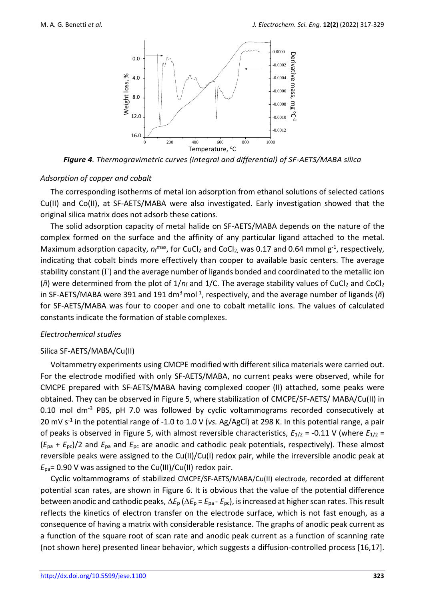

*Figure 4. Thermogravimetric curves (integral and differential) of SF-AETS/MABA silica*

## *Adsorption of copper and cobalt*

The corresponding isotherms of metal ion adsorption from ethanol solutions of selected cations Cu(II) and Co(II), at SF-AETS/MABA were also investigated. Early investigation showed that the original silica matrix does not adsorb these cations.

The solid adsorption capacity of metal halide on SF-AETS/MABA depends on the nature of the complex formed on the surface and the affinity of any particular ligand attached to the metal. Maximum adsorption capacity,  $n_f^{\text{max}}$ , for CuCl<sub>2</sub> and CoCl<sub>2</sub>, was 0.17 and 0.64 mmol g<sup>-1</sup>, respectively, indicating that cobalt binds more effectively than cooper to available basic centers. The average stability constant  $(\Gamma)$  and the average number of ligands bonded and coordinated to the metallic ion ( $\tilde{n}$ ) were determined from the plot of  $1/n_f$  and  $1/C$ . The average stability values of CuCl<sub>2</sub> and CoCl<sub>2</sub> in SF-AETS/MABA were 391 and 191 dm<sup>3</sup> mol<sup>-1</sup>, respectively, and the average number of ligands (ñ) for SF-AETS/MABA was four to cooper and one to cobalt metallic ions. The values of calculated constants indicate the formation of stable complexes.

# *Electrochemical studies*

## Silica SF-AETS/MABA/Cu(II)

Voltammetry experiments using CMCPE modified with different silica materials were carried out. For the electrode modified with only SF-AETS/MABA, no current peaks were observed, while for CMCPE prepared with SF-AETS/MABA having complexed cooper (II) attached, some peaks were obtained. They can be observed in Figure 5, where stabilization of CMCPE/SF-AETS/ MABA/Cu(II) in 0.10 mol dm<sup>-3</sup> PBS, pH 7.0 was followed by cyclic voltammograms recorded consecutively at 20 mV s -1 in the potential range of -1.0 to 1.0 V (*vs.* Ag/AgCl) at 298 K. In this potential range, a pair of peaks is observed in Figure 5, with almost reversible characteristics, *E*1/2 = -0.11 V (where *E*1/2 = (*E*pa + *E*pc)/2 and *E*pa and *E*pc are anodic and cathodic peak potentials, respectively). These almost reversible peaks were assigned to the Cu(II)/Cu(I) redox pair, while the irreversible anodic peak at *E*pa= 0.90 V was assigned to the Cu(III)/Cu(II) redox pair.

Cyclic voltammograms of stabilized CMCPE/SF-AETS/MABA/Cu(II) electrode*,* recorded at different potential scan rates, are shown in Figure 6. It is obvious that the value of the potential difference between anodic and cathodic peaks,  $\Delta E_p$  ( $\Delta E_p$  =  $E_{pa}$  -  $E_{pc}$ ), is increased at higher scan rates. This result reflects the kinetics of electron transfer on the electrode surface, which is not fast enough, as a consequence of having a matrix with considerable resistance. The graphs of anodic peak current as a function of the square root of scan rate and anodic peak current as a function of scanning rate (not shown here) presented linear behavior, which suggests a diffusion-controlled process [16,17].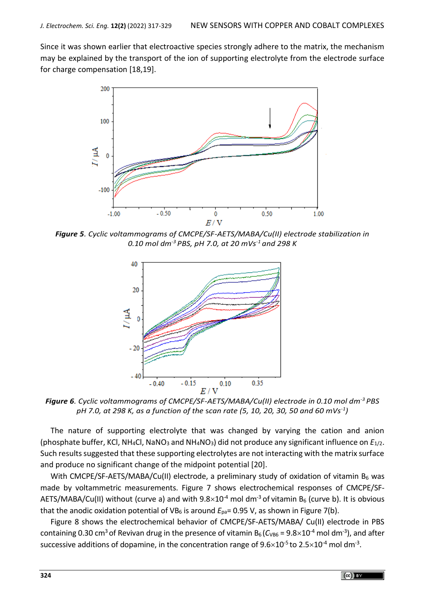Since it was shown earlier that electroactive species strongly adhere to the matrix, the mechanism may be explained by the transport of the ion of supporting electrolyte from the electrode surface for charge compensation [18,19].



*Figure 5. Cyclic voltammograms of CMCPE/SF-AETS/MABA/Cu(II) electrode stabilization in 0.10 mol dm-3 PBS, pH 7.0, at 20 mVs-1 and 298 K* 



*Figure 6. Cyclic voltammograms of CMCPE/SF-AETS/MABA/Cu(II) electrode in 0.10 mol dm-3 PBS pH 7.0, at 298 K, as a function of the* s*can rate (5, 10, 20, 30, 50 and 60 mVs-1 )*

The nature of supporting electrolyte that was changed by varying the cation and anion (phosphate buffer, KCl, NH<sub>4</sub>Cl, NaNO<sub>3</sub> and NH<sub>4</sub>NO<sub>3</sub>) did not produce any significant influence on *E*<sub>1/2</sub>. Such results suggested that these supporting electrolytes are not interacting with the matrix surface and produce no significant change of the midpoint potential [20].

With CMCPE/SF-AETS/MABA/Cu(II) electrode, a preliminary study of oxidation of vitamin  $B_6$  was made by voltammetric measurements. Figure 7 shows electrochemical responses of CMCPE/SF-AETS/MABA/Cu(II) without (curve a) and with  $9.8\times10^{-4}$  mol dm<sup>-3</sup> of vitamin B<sub>6</sub> (curve b). It is obvious that the anodic oxidation potential of VB<sub>6</sub> is around  $E_{pa}$ = 0.95 V, as shown in Figure 7(b).

Figure 8 shows the electrochemical behavior of CMCPE/SF-AETS/MABA/ Cu(II) electrode in PBS containing 0.30 cm<sup>3</sup> of Revivan drug in the presence of vitamin B<sub>6</sub> (C<sub>VB6</sub> = 9.8×10<sup>-4</sup> mol dm<sup>-3</sup>), and after successive additions of dopamine, in the concentration range of 9.6 $\times$ 10<sup>-5</sup> to 2.5 $\times$ 10<sup>-4</sup> mol dm<sup>-3</sup>.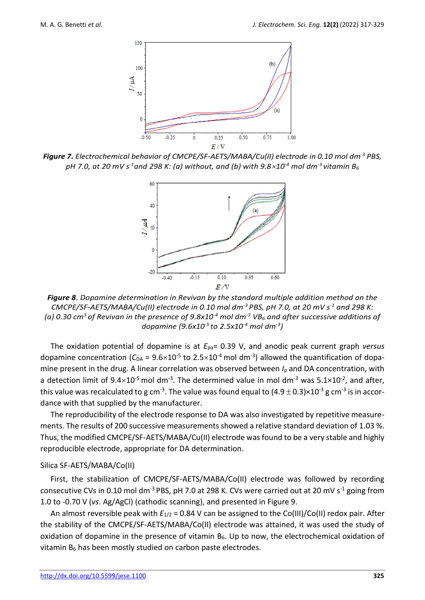

*Figure 7. Electrochemical behavior of CMCPE/SF-AETS/MABA/Cu(II) electrode in 0.10 mol dm-3 PBS,*  $p$ H 7.0, at 20 mV s<sup>-1</sup>and 298 K: (a) without, and (b) with 9.8 $\times$ 10<sup>-4</sup> mol dm<sup>-3</sup> vitamin B<sub>6</sub>



*Figure 8. Dopamine determination in Revivan by the standard multiple addition method on the CMCPE/SF-AETS/MABA/Cu(II) electrode in 0.10 mol dm-3 PBS, pH 7.0, at 20 mV s -1 and 298 K: (a) 0.30 cm<sup>3</sup>of Revivan in the presence of 9.8x10-4 mol dm-3 VB<sup>6</sup> and after successive additions of dopamine (9.6x10-5 to 2.5x10-4 mol dm-3 )*

The oxidation potential of dopamine is at *E*pa= 0.39 V, and anodic peak current graph *versus* dopamine concentration ( $C_{DA}$  =  $9.6 \times 10^{-5}$  to 2.5 $\times 10^{-4}$  mol dm<sup>-3</sup>) allowed the quantification of dopamine present in the drug. A linear correlation was observed between *I*<sup>p</sup> and DA concentration, with a detection limit of 9.4 $\times$ 10<sup>-5</sup> mol dm<sup>-3</sup>. The determined value in mol dm<sup>-3</sup> was 5.1×10<sup>-2</sup>, and after, this value was recalculated to g cm<sup>-3</sup>. The value was found equal to (4.9  $\pm$  0.3)×10<sup>-3</sup> g cm<sup>-3</sup> is in accordance with that supplied by the manufacturer.

The reproducibility of the electrode response to DA was also investigated by repetitive measurements. The results of 200 successive measurements showed a relative standard deviation of 1.03 %. Thus, the modified CMCPE/SF-AETS/MABA/Cu(II) electrode was found to be a very stable and highly reproducible electrode, appropriate for DA determination.

#### Silica SF-AETS/MABA/Co(II)

First, the stabilization of CMCPE/SF-AETS/MABA/Co(II) electrode was followed by recording consecutive CVs in 0.10 mol dm<sup>-3</sup> PBS, pH 7.0 at 298 K. CVs were carried out at 20 mV s<sup>-1</sup> going from 1.0 to -0.70 V (*vs*. Ag/AgCl) (cathodic scanning), and presented in Figure 9.

An almost reversible peak with  $E_{1/2}$  = 0.84 V can be assigned to the Co(III)/Co(II) redox pair. After the stability of the CMCPE/SF-AETS/MABA/Co(II) electrode was attained, it was used the study of oxidation of dopamine in the presence of vitamin  $B_6$ . Up to now, the electrochemical oxidation of vitamin  $B_6$  has been mostly studied on carbon paste electrodes.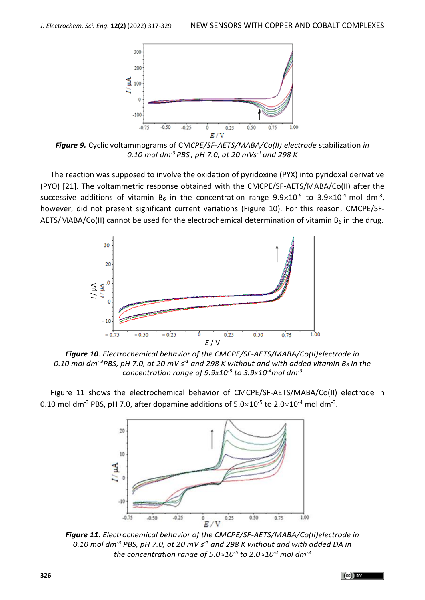

*Figure 9.* Cyclic voltammograms of CM*CPE/SF-AETS/MABA/Co(II) electrode* stabilization *in 0.10 mol dm-3 PBS , pH 7.0, at 20 mVs-1 and 298 K*

The reaction was supposed to involve the oxidation of pyridoxine (PYX) into pyridoxal derivative (PYO) [21]. The voltammetric response obtained with the CMCPE/SF-AETS/MABA/Co(II) after the successive additions of vitamin B<sub>6</sub> in the concentration range  $9.9\times10^{-5}$  to  $3.9\times10^{-4}$  mol dm<sup>-3</sup>, however, did not present significant current variations (Figure 10). For this reason, CMCPE/SF-AETS/MABA/Co(II) cannot be used for the electrochemical determination of vitamin  $B_6$  in the drug.



*Figure 10. Electrochemical behavior of the CMCPE/SF-AETS/MABA/Co(II)electrode in* 0.10 mol dm<sup>-3</sup>PBS, pH 7.0, at 20 mV s<sup>-1</sup> and 298 K without and with added vitamin B<sub>6</sub> in the *concentration range of 9.9x10-5 to 3.9x10-4mol dm-3*

Figure 11 shows the electrochemical behavior of CMCPE/SF-AETS/MABA/Co(II) electrode in 0.10 mol dm<sup>-3</sup> PBS, pH 7.0, after dopamine additions of  $5.0\times10^{-5}$  to  $2.0\times10^{-4}$  mol dm<sup>-3</sup>.



*Figure 11. Electrochemical behavior of the CMCPE/SF-AETS/MABA/Co(II)electrode in 0.10 mol dm-3 PBS, pH 7.0, at 20 mV s -1 and 298 K without and with added DA in*  the concentration range of 5.0 $\times$ 10<sup>-5</sup> to 2.0 $\times$ 10<sup>-4</sup> mol dm $^3$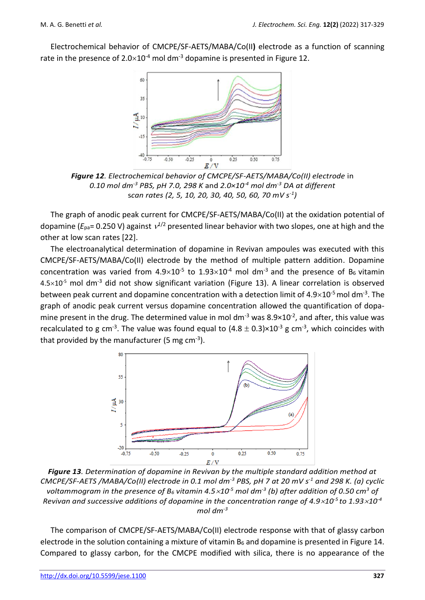Electrochemical behavior of CMCPE/SF-AETS/MABA/Co(II**)** electrode as a function of scanning rate in the presence of  $2.0\times10^{-4}$  mol dm<sup>-3</sup> dopamine is presented in Figure 12.



*Figure 12. Electrochemical behavior of CMCPE/SF-AETS/MABA/Co(II) electrode* in *0.10 mol dm-3 PBS, pH 7.0, 298 K* and *2.0×10-4 mol dm-3 DA at different* s*can rates (2, 5, 10, 20, 30, 40, 50, 60, 70 mV s-1 )*

The graph of anodic peak current for CMCPE/SF-AETS/MABA/Co(II) at the oxidation potential of dopamine ( $E_{pa}$ = 0.250 V) against  $v^{1/2}$  presented linear behavior with two slopes, one at high and the other at low scan rates [22].

The electroanalytical determination of dopamine in Revivan ampoules was executed with this CMCPE/SF-AETS/MABA/Co(II) electrode by the method of multiple pattern addition. Dopamine concentration was varied from  $4.9\times10^{-5}$  to  $1.93\times10^{-4}$  mol dm<sup>-3</sup> and the presence of B<sub>6</sub> vitamin  $4.5\times10^{-5}$  mol dm<sup>-3</sup> did not show significant variation (Figure 13). A linear correlation is observed between peak current and dopamine concentration with a detection limit of  $4.9\times10^{-5}$  mol dm<sup>-3</sup>. The graph of anodic peak current versus dopamine concentration allowed the quantification of dopamine present in the drug. The determined value in mol dm<sup>-3</sup> was  $8.9\times10^{-2}$ , and after, this value was recalculated to g cm<sup>-3</sup>. The value was found equal to  $(4.8 \pm 0.3) \times 10^{-3}$  g cm<sup>-3</sup>, which coincides with that provided by the manufacturer (5 mg cm<sup>-3</sup>).



*Figure 13. Determination of dopamine in Revivan by the multiple standard addition method at CMCPE/SF-AETS /MABA/Co(II) electrode in 0.1 mol dm-3 PBS, pH 7 at 20 mV s -1 and 298 K. (a) cyclic voltammogram in the presence of B<sup>6</sup> vitamin 4.510-5 mol dm-3 (b) after addition of 0.50 cm<sup>3</sup> of Revivan and successive additions of dopamine in the concentration range of 4.9* $\times$ *10<sup><i>-5*</sup> to 1.93 $\times$ 10<sup>-4</sup> *mol dm-3*

The comparison of CMCPE/SF-AETS/MABA/Co(II) electrode response with that of glassy carbon electrode in the solution containing a mixture of vitamin  $B_6$  and dopamine is presented in Figure 14. Compared to glassy carbon, for the CMCPE modified with silica, there is no appearance of the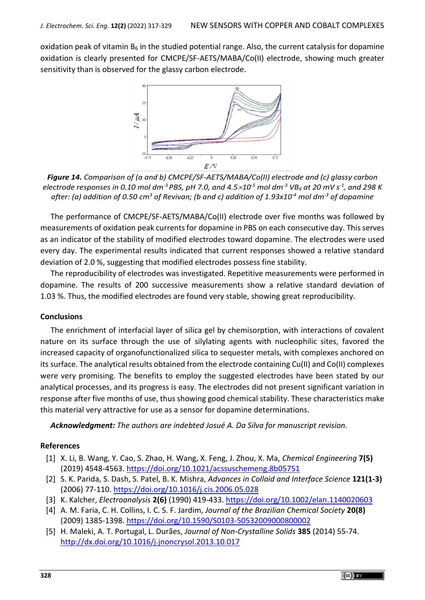oxidation peak of vitamin  $B_6$  in the studied potential range. Also, the current catalysis for dopamine oxidation is clearly presented for CMCPE/SF-AETS/MABA/Co(II) electrode, showing much greater sensitivity than is observed for the glassy carbon electrode.



*Figure 14. Comparison of (a and b) CMCPE/SF-AETS/MABA/Co(II) electrode and (c) glassy carbon electrode responses in 0.10 mol dm-3 PBS, pH 7.0, and 4.510-5 mol dm-3 VB<sup>6</sup> at 20 mV s -1 , and 298 K after: (a) addition of 0.50 cm<sup>3</sup> of Revivan; (b and c) addition of 1.93x10-4 mol dm-3 of dopamine*

The performance of CMCPE/SF-AETS/MABA/Co(II) electrode over five months was followed by measurements of oxidation peak currents for dopamine in PBS on each consecutive day. This serves as an indicator of the stability of modified electrodes toward dopamine. The electrodes were used every day. The experimental results indicated that current responses showed a relative standard deviation of 2.0 %, suggesting that modified electrodes possess fine stability.

The reproducibility of electrodes was investigated. Repetitive measurements were performed in dopamine. The results of 200 successive measurements show a relative standard deviation of 1.03 %. Thus, the modified electrodes are found very stable, showing great reproducibility.

## **Conclusions**

The enrichment of interfacial layer of silica gel by chemisorption, with interactions of covalent nature on its surface through the use of silylating agents with nucleophilic sites, favored the increased capacity of organofunctionalized silica to sequester metals, with complexes anchored on its surface. The analytical results obtained from the electrode containing Cu(II) and Co(II) complexes were very promising. The benefits to employ the suggested electrodes have been stated by our analytical processes, and its progress is easy. The electrodes did not present significant variation in response after five months of use, thus showing good chemical stability. These characteristics make this material very attractive for use as a sensor for dopamine determinations.

*Acknowledgment: The authors are indebted Josué A. Da Silva for manuscript revision.*

## **References**

- [1] X. Li, B. Wang, Y. Cao, S. Zhao, H. Wang, X. Feng, J. Zhou, X. Ma, *Chemical Engineering* **7(5)** (2019) 4548-4563.<https://doi.org/10.1021/acssuschemeng.8b05751>
- [2] S. K. Parida, S. Dash, S. Patel, B. K. Mishra, *Advances in Colloid and Interface Science* **121(1-3)** (2006) 77-110. <https://doi.org/10.1016/j.cis.2006.05.028>
- [3] K. Kalcher, *Electroanalysis* **2(6)** (1990) 419-433[. https://doi.org/10.1002/elan.1140020603](https://doi.org/10.1002/elan.1140020603)
- [4] A. M. Faria, C. H. Collins, I. C. S. F. Jardim, *Journal of the Brazilian Chemical Society* **20(8)** (2009) 1385-1398.<https://doi.org/10.1590/S0103-50532009000800002>
- [5] H. Maleki, A. T. Portugal, L. Durães, *Journal of Non-Crystalline Solids* **385** (2014) 55-74. <http://dx.doi.org/10.1016/j.jnoncrysol.2013.10.017>